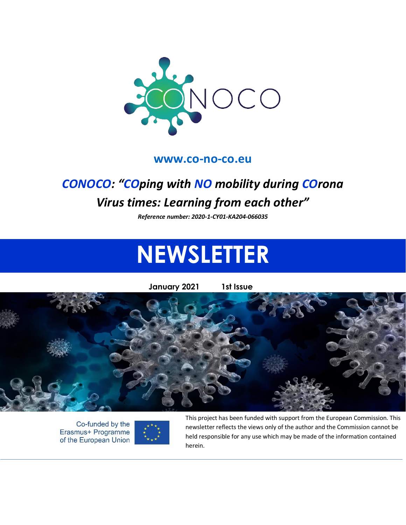

#### **[www.co-no-co.eu](http://www.co-no-co.eu/)**

## *CONOCO: "COping with NO mobility during COrona Virus times: Learning from each other"*

*Reference number: 2020-1-CY01-KA204-066035*

# **NEWSLETTER**

**January 2021 1st Issue**





Co-funded by the Erasmus+ Programme of the European Union



This project has been funded with support from the European Commission. This newsletter reflects the views only of the author and the Commission cannot be held responsible for any use which may be made of the information contained herein.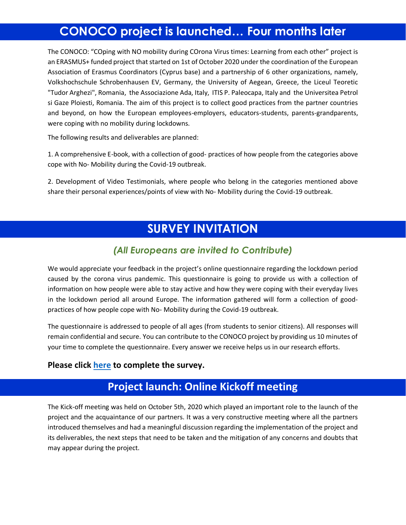## **CONOCO project is launched… Four months later**

The CONOCO: "COping with NO mobility during COrona Virus times: Learning from each other" project is an ERASMUS+ funded project that started on 1st of October 2020 under the coordination of the European Association of Erasmus Coordinators (Cyprus base) and a partnership of 6 other organizations, namely, Volkshochschule Schrobenhausen EV, Germany, the University of Aegean, Greece, the Liceul Teoretic "Tudor Arghezi", Romania, the Associazione Ada, Italy, ITIS P. Paleocapa, Italy and the Universitea Petrol si Gaze Ploiesti, Romania. The aim of this project is to collect good practices from the partner countries and beyond, on how the European employees-employers, educators-students, parents-grandparents, were coping with no mobility during lockdowns.

The following results and deliverables are planned:

1. A comprehensive E-book, with a collection of good- practices of how people from the categories above cope with No- Mobility during the Covid-19 outbreak.

2. Development of Video Testimonials, where people who belong in the categories mentioned above share their personal experiences/points of view with No- Mobility during the Covid-19 outbreak.

## **SURVEY INVITATION**

#### *(All Europeans are invited to Contribute)*

We would appreciate your feedback in the project's online questionnaire regarding the lockdown period caused by the corona virus pandemic. This questionnaire is going to provide us with a collection of information on how people were able to stay active and how they were coping with their everyday lives in the lockdown period all around Europe. The information gathered will form a collection of goodpractices of how people cope with No- Mobility during the Covid-19 outbreak.

The questionnaire is addressed to people of all ages (from students to senior citizens). All responses will remain confidential and secure. You can contribute to the CONOCO project by providing us 10 minutes of your time to complete the questionnaire. Every answer we receive helps us in our research efforts.

#### **Please click [here](https://co-no-co.eu/survey/) to complete the survey.**

### **Project launch: Online Kickoff meeting**

The Kick-off meeting was held on October 5th, 2020 which played an important role to the launch of the project and the acquaintance of our partners. It was a very constructive meeting where all the partners introduced themselves and had a meaningful discussion regarding the implementation of the project and its deliverables, the next steps that need to be taken and the mitigation of any concerns and doubts that may appear during the project.